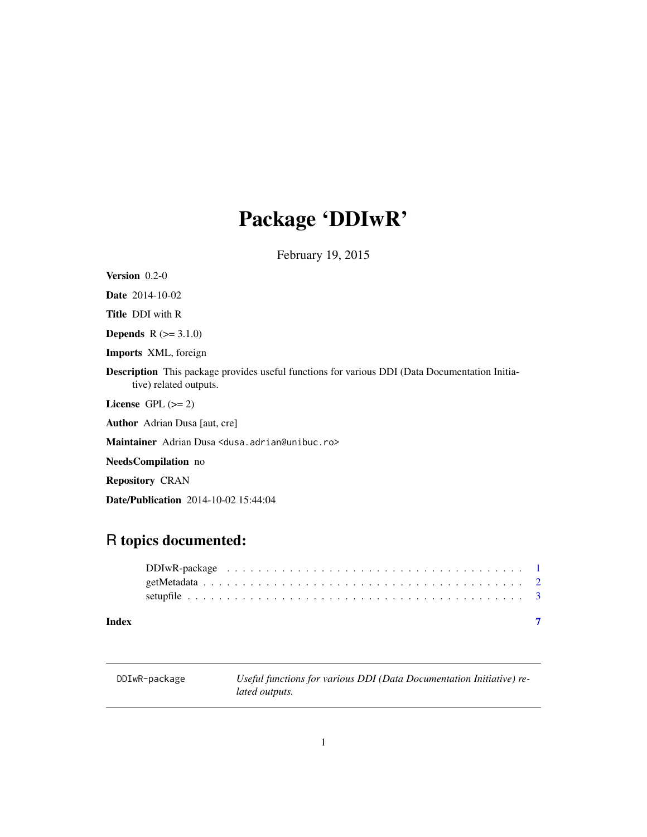# <span id="page-0-0"></span>Package 'DDIwR'

February 19, 2015

| <b>Version</b> $0.2-0$                                                                                                          |
|---------------------------------------------------------------------------------------------------------------------------------|
| <b>Date</b> $2014-10-02$                                                                                                        |
| <b>Title DDI</b> with R                                                                                                         |
| <b>Depends</b> $R (= 3.1.0)$                                                                                                    |
| <b>Imports</b> XML, foreign                                                                                                     |
| <b>Description</b> This package provides useful functions for various DDI (Data Documentation Initia-<br>tive) related outputs. |
| License $GPL \, (>= 2)$                                                                                                         |
| <b>Author</b> Adrian Dusa [aut, cre]                                                                                            |
| Maintainer Adrian Dusa <dusa.adrian@unibuc.ro></dusa.adrian@unibuc.ro>                                                          |
| <b>NeedsCompilation</b> no                                                                                                      |
| <b>Repository CRAN</b>                                                                                                          |

# R topics documented:

Date/Publication 2014-10-02 15:44:04

DDIwR-package *Useful functions for various DDI (Data Documentation Initiative) related outputs.*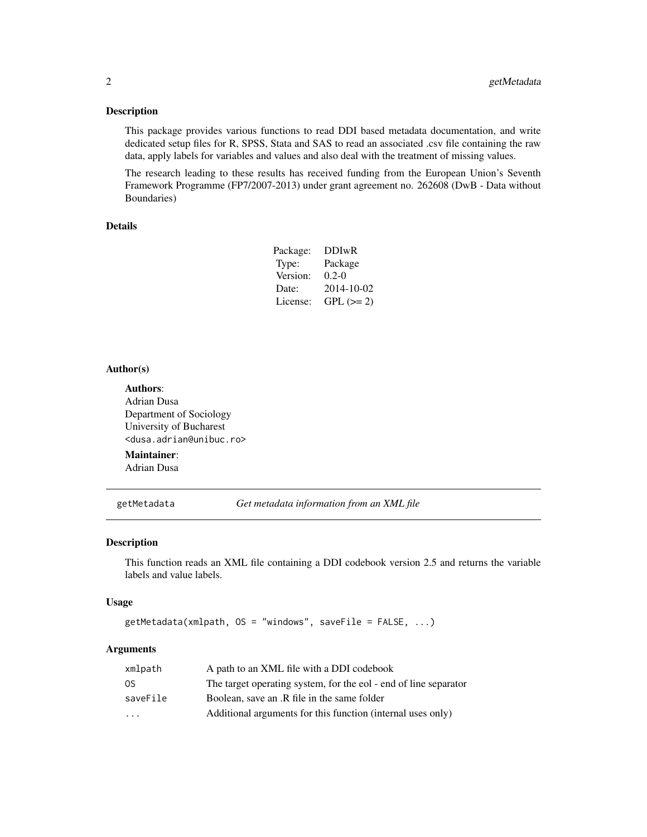# <span id="page-1-0"></span>Description

This package provides various functions to read DDI based metadata documentation, and write dedicated setup files for R, SPSS, Stata and SAS to read an associated .csv file containing the raw data, apply labels for variables and values and also deal with the treatment of missing values.

The research leading to these results has received funding from the European Union's Seventh Framework Programme (FP7/2007-2013) under grant agreement no. 262608 (DwB - Data without Boundaries)

# Details

| Package: | <b>DDIwR</b> |
|----------|--------------|
| Type:    | Package      |
| Version: | $0.2 - 0$    |
| Date:    | 2014-10-02   |
| License: | $GPL (=2)$   |

# Author(s)

Authors: Adrian Dusa Department of Sociology University of Bucharest <dusa.adrian@unibuc.ro>

# Maintainer:

Adrian Dusa

getMetadata *Get metadata information from an XML file*

# Description

This function reads an XML file containing a DDI codebook version 2.5 and returns the variable labels and value labels.

## Usage

getMetadata(xmlpath, OS = "windows", saveFile = FALSE, ...)

# **Arguments**

| xmlpath                 | A path to an XML file with a DDI codebook                        |
|-------------------------|------------------------------------------------------------------|
| 0S                      | The target operating system, for the eol - end of line separator |
| saveFile                | Boolean, save an .R file in the same folder                      |
| $\cdot$ $\cdot$ $\cdot$ | Additional arguments for this function (internal uses only)      |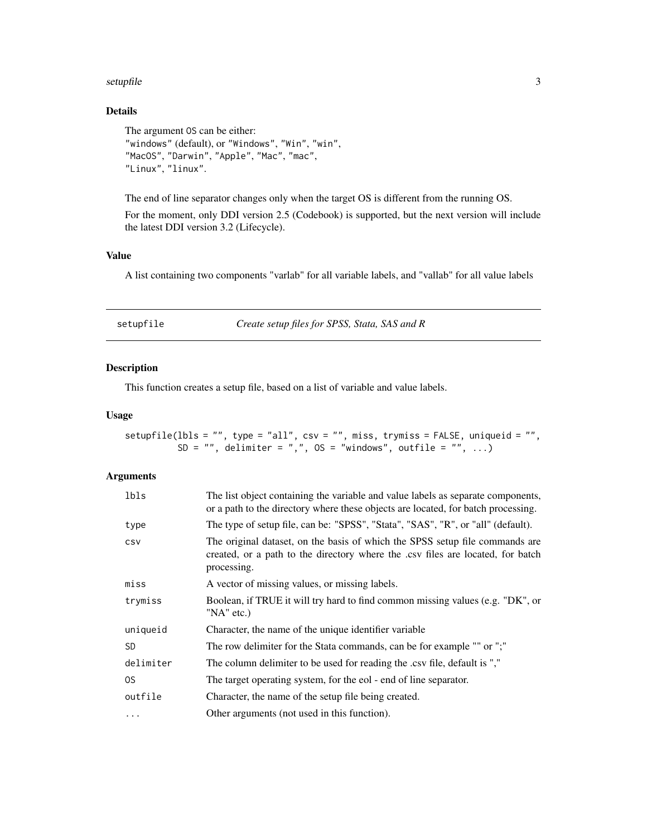## <span id="page-2-0"></span>setupfile 3

# Details

```
The argument OS can be either:
"windows" (default), or "Windows", "Win", "win",
"MacOS", "Darwin", "Apple", "Mac", "mac",
"Linux", "linux".
```
The end of line separator changes only when the target OS is different from the running OS.

For the moment, only DDI version 2.5 (Codebook) is supported, but the next version will include the latest DDI version 3.2 (Lifecycle).

# Value

A list containing two components "varlab" for all variable labels, and "vallab" for all value labels

| setupfile |  |  |  |
|-----------|--|--|--|
|           |  |  |  |

setupfile *Create setup files for SPSS, Stata, SAS and R*

# Description

This function creates a setup file, based on a list of variable and value labels.

# Usage

```
setupfile(lbls = "", type = "all", csv = "", miss, trymiss = FALSE, uniqueid = "",
          SD = "", delimiter = ",", OS = "windows", outfile = "", \ldots)
```
# Arguments

| lbls       | The list object containing the variable and value labels as separate components,<br>or a path to the directory where these objects are located, for batch processing.          |
|------------|--------------------------------------------------------------------------------------------------------------------------------------------------------------------------------|
| type       | The type of setup file, can be: "SPSS", "Stata", "SAS", "R", or "all" (default).                                                                                               |
| <b>CSV</b> | The original dataset, on the basis of which the SPSS setup file commands are<br>created, or a path to the directory where the .csv files are located, for batch<br>processing. |
| miss       | A vector of missing values, or missing labels.                                                                                                                                 |
| trymiss    | Boolean, if TRUE it will try hard to find common missing values (e.g. "DK", or<br>"NA" etc.)                                                                                   |
| uniqueid   | Character, the name of the unique identifier variable                                                                                                                          |
| <b>SD</b>  | The row delimiter for the Stata commands, can be for example "" or ";"                                                                                                         |
| delimiter  | The column delimiter to be used for reading the .csv file, default is ","                                                                                                      |
| OS.        | The target operating system, for the eol - end of line separator.                                                                                                              |
| outfile    | Character, the name of the setup file being created.                                                                                                                           |
| $\cdots$   | Other arguments (not used in this function).                                                                                                                                   |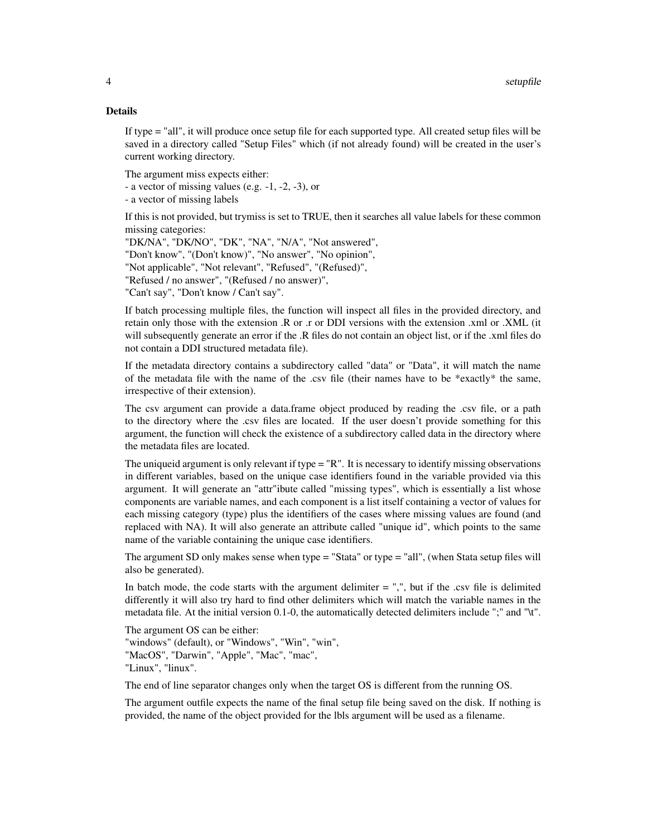# Details

If type = "all", it will produce once setup file for each supported type. All created setup files will be saved in a directory called "Setup Files" which (if not already found) will be created in the user's current working directory.

The argument miss expects either:

- a vector of missing values (e.g. -1, -2, -3), or

- a vector of missing labels

If this is not provided, but trymiss is set to TRUE, then it searches all value labels for these common missing categories:

"DK/NA", "DK/NO", "DK", "NA", "N/A", "Not answered", "Don't know", "(Don't know)", "No answer", "No opinion", "Not applicable", "Not relevant", "Refused", "(Refused)", "Refused / no answer", "(Refused / no answer)", "Can't say", "Don't know / Can't say".

If batch processing multiple files, the function will inspect all files in the provided directory, and retain only those with the extension .R or .r or DDI versions with the extension .xml or .XML (it will subsequently generate an error if the .R files do not contain an object list, or if the .xml files do not contain a DDI structured metadata file).

If the metadata directory contains a subdirectory called "data" or "Data", it will match the name of the metadata file with the name of the .csv file (their names have to be \*exactly\* the same, irrespective of their extension).

The csv argument can provide a data.frame object produced by reading the .csv file, or a path to the directory where the .csv files are located. If the user doesn't provide something for this argument, the function will check the existence of a subdirectory called data in the directory where the metadata files are located.

The uniqueid argument is only relevant if type = "R". It is necessary to identify missing observations in different variables, based on the unique case identifiers found in the variable provided via this argument. It will generate an "attr"ibute called "missing types", which is essentially a list whose components are variable names, and each component is a list itself containing a vector of values for each missing category (type) plus the identifiers of the cases where missing values are found (and replaced with NA). It will also generate an attribute called "unique id", which points to the same name of the variable containing the unique case identifiers.

The argument SD only makes sense when type = "Stata" or type = "all", (when Stata setup files will also be generated).

In batch mode, the code starts with the argument delimiter  $=$  ",", but if the .csv file is delimited differently it will also try hard to find other delimiters which will match the variable names in the metadata file. At the initial version 0.1-0, the automatically detected delimiters include ";" and "\t".

The argument OS can be either: "windows" (default), or "Windows", "Win", "win", "MacOS", "Darwin", "Apple", "Mac", "mac", "Linux", "linux".

The end of line separator changes only when the target OS is different from the running OS.

The argument outfile expects the name of the final setup file being saved on the disk. If nothing is provided, the name of the object provided for the lbls argument will be used as a filename.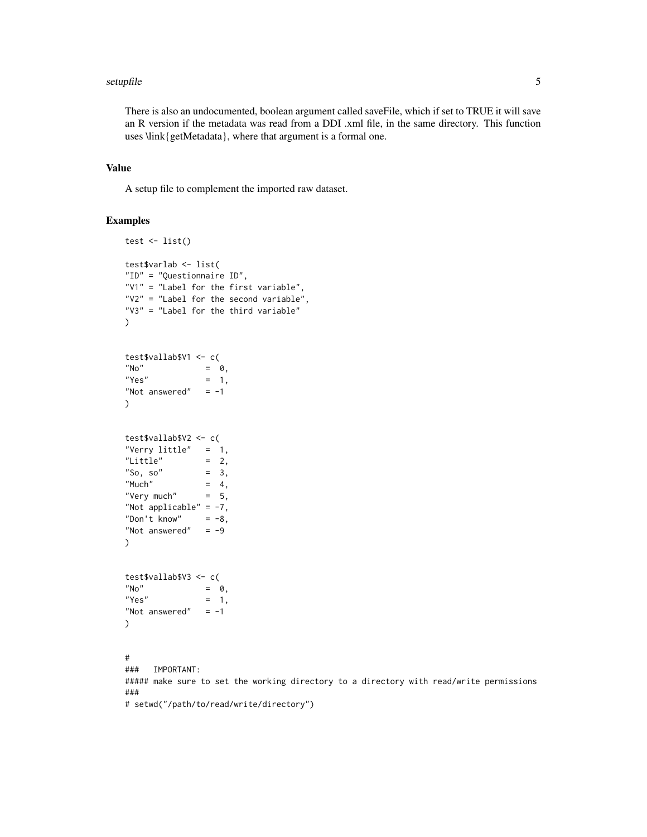## setupfile 55 Setuphile 55 Setuphile 55 Setuphile 55 Setuphile 55 Setuphile 55 Setuphile 55 Setuphile 55 Setup

There is also an undocumented, boolean argument called saveFile, which if set to TRUE it will save an R version if the metadata was read from a DDI .xml file, in the same directory. This function uses \link{getMetadata}, where that argument is a formal one.

# Value

A setup file to complement the imported raw dataset.

# Examples

```
test \leftarrow list()
test$varlab <- list(
"ID" = "Questionnaire ID",
"V1" = "Label for the first variable",
"V2" = "Label for the second variable",
"V3" = "Label for the third variable"
\lambdatest$vallab$V1 <- c(
N^{\prime} No" = 0,
"Yes" = 1,
"Not answered" = -1\mathcal{L}test$vallab$V2 <- c(
"Verry little" = 1,
"Little" = 2,<br>"So. so" = 3,
"So, so""Much" = 4,"Very much" = 5,
"Not applicable" = -7,
"Don't know" = -8,
"Not answered" = -9\lambdatest$vallab$V3 <- c(
N^{\prime} No" = 0,
"Yes" = 1,
"Not answered" = -1\mathcal{L}#
### IMPORTANT:
##### make sure to set the working directory to a directory with read/write permissions
###
# setwd("/path/to/read/write/directory")
```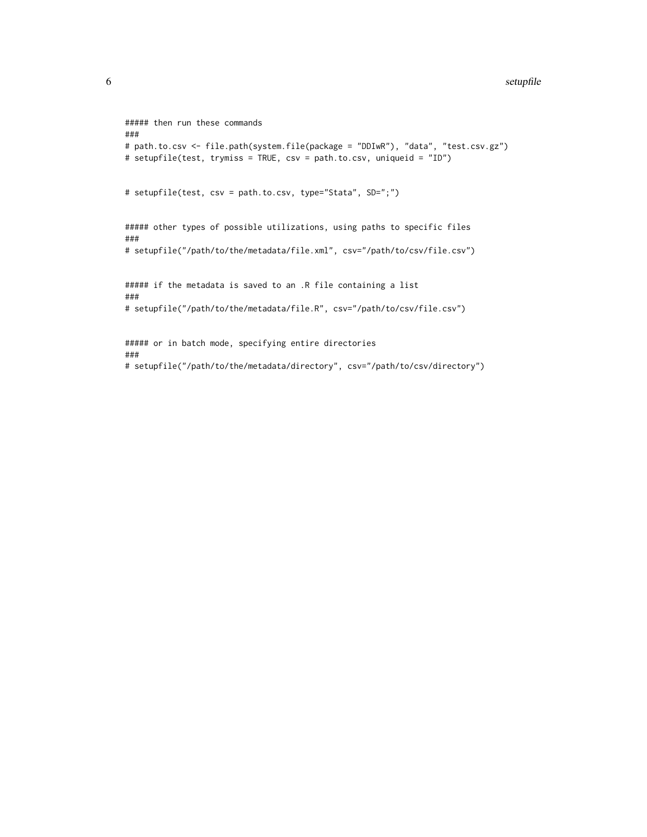## 6 setupfile to the contract of the contract of the contract of the setupfile setupfile

```
##### then run these commands
###
# path.to.csv <- file.path(system.file(package = "DDIwR"), "data", "test.csv.gz")
# setupfile(test, trymiss = TRUE, csv = path.to.csv, uniqueid = "ID")
# setupfile(test, csv = path.to.csv, type="Stata", SD=";")
##### other types of possible utilizations, using paths to specific files
###
# setupfile("/path/to/the/metadata/file.xml", csv="/path/to/csv/file.csv")
##### if the metadata is saved to an .R file containing a list
###
# setupfile("/path/to/the/metadata/file.R", csv="/path/to/csv/file.csv")
##### or in batch mode, specifying entire directories
###
# setupfile("/path/to/the/metadata/directory", csv="/path/to/csv/directory")
```